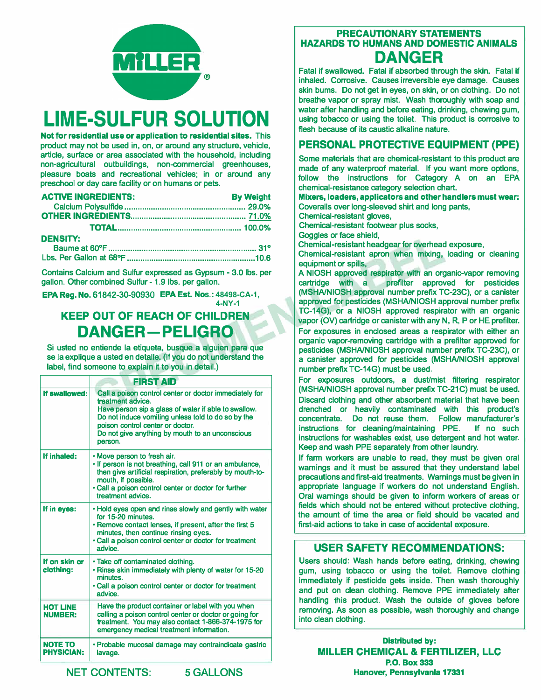

# **LIME-SULFUR SOLUTION**

**Not for residential use or application to residential sites. This product may not be used in, on, or around any structure, vehicle, article, surface or area associated with the household, including non-agricultural outbuildings, non-commercial greenhouses, pleasure boats and recreational vehicles; in or around any preschool or day care facility or on humans or pets.** 

| <b>ACTIVE INGREDIENTS:</b> | <b>By Weight</b> |
|----------------------------|------------------|
|                            |                  |
|                            |                  |
|                            |                  |
| <b>DENSITY:</b>            |                  |

**Contains Calcium and Sulfur expressed as Gypsum - 3.0 lbs. per gallon. Other combined Sulfur - 1.9 lbs. per gallon.** 

**EPA Reg. No. 61842-30-90930 EPA Est. Nos.: 48498-CA-1, 4-NY-1**

## **KEEP OUT OF REACH OF CHILDREN DANGER-PELIGRO**

**Si usted no entiende la etiqueta, busque a alguien para que se la explique a usted en detalle. (If you do not understand the label, find someone to explain it to you in detail.)** 

| <b>FIRST AID</b>                    |                                                                                                                                                                                                                                                                                             |  |
|-------------------------------------|---------------------------------------------------------------------------------------------------------------------------------------------------------------------------------------------------------------------------------------------------------------------------------------------|--|
| If swallowed:                       | Call a poison control center or doctor immediately for<br>treatment advice.<br>Have person sip a glass of water if able to swallow.<br>Do not induce vomiting unless told to do so by the<br>poison control center or doctor.<br>Do not give anything by mouth to an unconscious<br>person. |  |
| If inhaled:                         | . Move person to fresh air.<br>. If person is not breathing, call 911 or an ambulance,<br>then give artificial respiration, preferably by mouth-to-<br>mouth, if possible.<br>. Call a poison control center or doctor for further<br>treatment advice.                                     |  |
| If in eyes:                         | . Hold eyes open and rinse slowly and gently with water<br>for 15-20 minutes.<br>• Remove contact lenses, if present, after the first 5<br>minutes, then continue rinsing eyes.<br>. Call a poison control center or doctor for treatment<br>advice.                                        |  |
| If on skin or<br>clothing:          | . Take off contaminated clothing.<br>. Rinse skin immediately with plenty of water for 15-20<br>minutes.<br>. Call a poison control center or doctor for treatment<br>advice.                                                                                                               |  |
| <b>HOT LINE</b><br><b>NUMBER:</b>   | Have the product container or label with you when<br>calling a poison control center or doctor or going for<br>treatment. You may also contact 1-866-374-1975 for<br>emergency medical treatment information.                                                                               |  |
| <b>NOTE TO</b><br><b>PHYSICIAN:</b> | • Probable mucosal damage may contraindicate gastric<br>lavage.                                                                                                                                                                                                                             |  |

#### **PRECAUTIONARY STATEMENTS HAZARDS TO HUMANS AND DOMESTIC ANIMALS DANGER**

**Fatal if swallowed. Fatal if absorbed through the skin. Fatal if inhaled. Corrosive. Causes irreversible eye damage. Causes skin bums. Do not get in eyes, on skin, or on clothing. Do not breathe vapor or spray mist. Wash thoroughly with soap and water after handling and before eating, drinking, chewing gum, using tobacco or using the toilet. This product is corrosive to flesh because of its caustic alkaline nature.** 

### **PERSONAL PROTECTIVE EQUIPMENT {PPE)**

**Some materials that are chemical-resistant to this product are made of any waterproof material. If you want more options, follow the instructions for Category A on an EPA chemical-resistance category selection chart.** 

**Mixers, loaders, applicators and other handlers must wear: Coveralls over long-sleeved shirt and long pants,** 

**Chemical-resistant gloves,** 

**Chemical-resistant footwear plus socks,** 

**Goggles or face shield,** 

**Chemical-resistant headgear for overhead exposure,** 

**Chemical-resistant apron when mixing, loading or cleaning equipment or spills,** 

**A NIOSH approved respirator with an organic-vapor removing cartridge with a prefilter approved for pesticides (MSHA/NIOSH approval number prefix TC-23C), or a canister approved for pesticides (MSHA/NIOSH approval number prefix TC-14G), or a NIOSH approved respirator with an organic vapor (OV) cartridge or canister with any N, R, P or HE prefilter. For exposures in enclosed areas a respirator with either an organic vapor-removing cartridge with a prefilter approved for pesticides (MSHA/NIOSH approval number prefix TC-23C), or a canister approved for pesticides (MSHA/NIOSH approval number prefix TC-14G) must be used.** 

**For exposures outdoors, a dust/mist filtering respirator**  (MSHA/NIOSH approval number prefix TC-21C) must be used. **Discard clothing and other absorbent material that have been drenched or heavily contaminated with this product's concentrate. Do not reuse them. Follow manufacturer's instructions for cleaning/maintaining PPE. If no such instructions for washables exist, use detergent and hot water. Keep and wash PPE separately from other laundry.** 

**If farm workers are unable to read, they must be given oral warnings and it must be assured that they understand label precautions and first-aid treatments. Warnings must be given in appropriate language if workers do not understand English. Oral warnings should be given to inform workers of areas or fields which should not be entered without protective clothing, the amount of time the area or field should be vacated and first-aid actions to take in case of accidental exposure.** 

#### **USER SAFETY RECOMMENDATIONS:**

**Users should: Wash hands before eating, drinking, chewing gum, using tobacco or using the toilet. Remove clothing immediately if pesticide gets inside. Then wash thoroughly and put on clean clothing. Remove PPE immediately after handling this product. Wash the outside of gloves before removing. As soon as possible, wash thoroughly and change into clean clothing.** 

**Distributed by:**  MILLER CHEMICAL & FERTILIZER, LLC **P.O. Box333 Hanover, Pennsylvanla 17331** 

**NET CONTENTS: 5 GALLONS**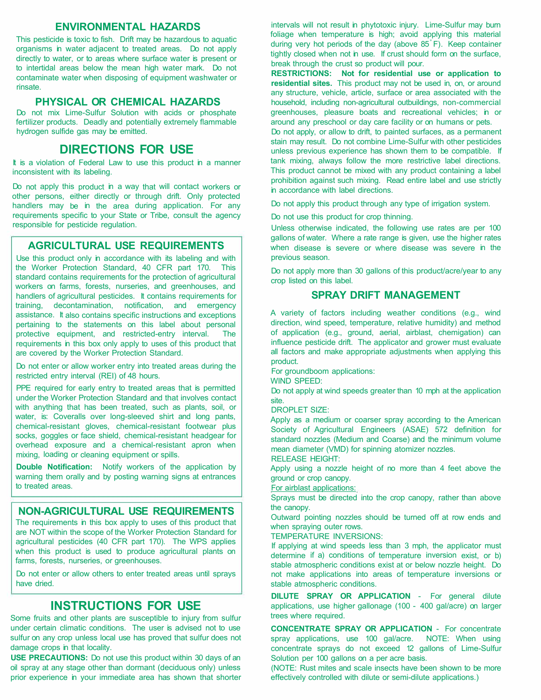#### **ENVIRONMENTAL HAZARDS**

This pesticide is toxic to fish. Drift may be hazardous to aquatic organisms in water adjacent to treated areas. Do not apply directly to water, or to areas where surface water is present or to intertidal areas below the mean high water mark. Do not contaminate water when disposing of equipment washwater or rinsate.

#### **PHYSICAL OR CHEMICAL HAZARDS**

Do not mix Lime-Sulfur Solution with acids or phosphate fertilizer products. Deadly and potentially extremely flammable hydrogen sulfide gas may be emitted.

#### **DIRECTIONS FOR USE**

It is a violation of Federal Law to use this product in a manner inconsistent with its labeling.

Do not apply this product in a way that will contact workers or other persons, either directly or through drift. Only protected handlers may be in the area during application. For any requirements specific to your State or Tribe, consult the agency responsible for pesticide regulation.

#### **AGRICULTURAL USE REQUIREMENTS**

Use this product only in accordance with its labeling and with the Worker Protection Standard, 40 CFR part 170. This standard contains requirements for the protection of agricultural workers on farms, forests, nurseries, and greenhouses, and handlers of agricultural pesticides. It contains requirements for training, decontamination, notification, and emergency assistance. It also contains specific instructions and exceptions pertaining to the statements on this label about personal protective equipment, and restricted-entry interval. The requirements in this box only apply to uses of this product that are covered by the Worker Protection Standard.

Do not enter or allow worker entry into treated areas during the restricted entry interval (REI) of 48 hours.

PPE required for early entry to treated areas that is permitted under the Worker Protection Standard and that involves contact with anything that has been treated, such as plants, soil, or water, is: Coveralls over long-sleeved shirt and long pants, chemical-resistant gloves, chemical-resistant footwear plus socks, goggles or face shield, chemical-resistant headgear for overhead exposure and a chemical-resistant apron when mixing, loading or cleaning equipment or spills.

**Double Notification:** Notify workers of the application by warning them orally and by posting warning signs at entrances to treated areas.

#### **NON-AGRICULTURAL USE REQUIREMENTS**

The requirements in this box apply to uses of this product that are NOT within the scope of the Worker Protection Standard for agricultural pesticides (40 CFR part 170). The WPS applies when this product is used to produce agricultural plants on farms, forests, nurseries, or greenhouses.

Do not enter or allow others to enter treated areas until sprays have dried.

#### **INSTRUCTIONS FOR USE**

Some fruits and other plants are susceptible to injury from sulfur under certain climatic conditions. The user is advised not to use sulfur on any crop unless local use has proved that sulfur does not damage crops in that locality.

**USE PRECAUTIONS:** Do not use this product within 30 days of an oil spray at any stage other than dormant (deciduous only) unless prior experience in your immediate area has shown that shorter intervals will not result in phytotoxic injury. Lime-Sulfur may burn foliage when temperature is high; avoid applying this material during very hot periods of the day (above 85° F). Keep container tightly closed when not in use. If crust should form on the surface, break through the crust so product will pour.

**RESTRICTIONS: Not for residential use or application to residential sites.** This product may not be used in, on, or around any structure, vehicle, article, surface or area associated with the household, including non-agricultural outbuildings, non-commercial greenhouses, pleasure boats and recreational vehicles; in or around any preschool or day care facility or on humans or pets.

Do not apply, or allow to drift, to painted surfaces, as a permanent stain may result. Do not combine Lime-Sulfur with other pesticides unless previous experience has shown them to be compatible. If tank mixing, always follow the more restrictive label directions. This product cannot be mixed with any product containing a label prohibition against such mixing. Read entire label and use strictly in accordance with label directions.

Do not apply this product through any type of irrigation system.

Do not use this product for crop thinning.

Unless otherwise indicated, the following use rates are per 100 gallons of water. Where a rate range is given, use the higher rates when disease is severe or where disease was severe in the previous season.

Do not apply more than 30 gallons of this product/acre/year to any crop listed on this label.

#### **SPRAY DRIFT MANAGEMENT**

A variety of factors including weather conditions (e.g., wind direction, wind speed, temperature, relative humidity) and method of application (e.g., ground, aerial, airblast, chemigation) can influence pesticide drift. The applicator and grower must evaluate all factors and make appropriate adjustments when applying this product.

For groundboom applications:

WIND SPEED:

Do not apply at wind speeds greater than 10 mph at the application site.

DROPLET SIZE:

Apply as a medium or coarser spray according to the American Society of Agricultural Engineers (ASAE) 572 definition for standard nozzles (Medium and Coarse) and the minimum volume mean diameter (VMD) for spinning atomizer nozzles.

RELEASE HEIGHT:

Apply using a nozzle height of no more than 4 feet above the ground or crop canopy.

For airblast applications:

Sprays must be directed into the crop canopy, rather than above the canopy.

Outward pointing nozzles should be turned off at row ends and when spraying outer rows.

TEMPERATURE INVERSIONS:

If applying at wind speeds less than 3 mph, the applicator must determine if a) conditions of temperature inversion exist, or b) stable atmospheric conditions exist at or below nozzle height. Do not make applications into areas of temperature inversions or stable atmospheric conditions.

**DILUTE SPRAY OR APPLICATION** - For general dilute applications, use higher gallonage (100 - 400 gal/acre) on larger trees where required.

**CONCENTRATE SPRAY OR APPLICATION** - For concentrate spray applications, use 100 gal/acre. NOTE: When using concentrate sprays do not exceed 12 gallons of Lime-Sulfur Solution per 100 gallons on a per acre basis.

(NOTE: Rust mites and scale insects have been shown to be more effectively controlled with dilute or semi-dilute applications.)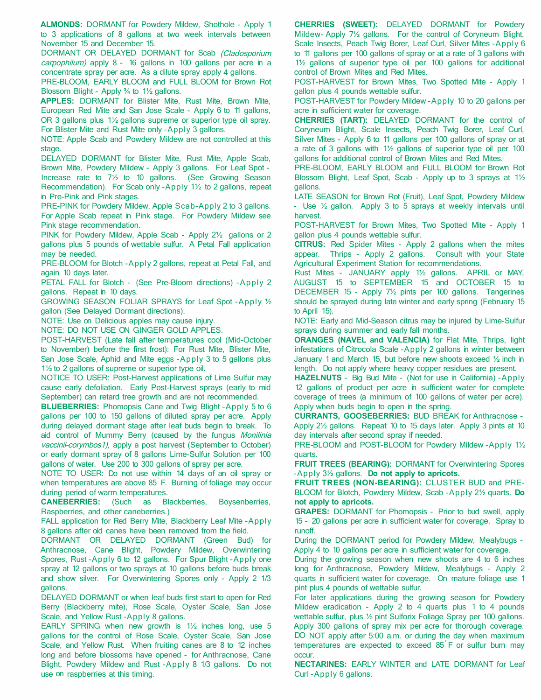**ALMONDS:** DORMANT for Powdery Mildew, Shothole - Apply 1 to 3 applications of 8 gallons at two week intervals between November 15 and December 15.

DORMANT OR DELAYED DORMANT for Scab (Cladosporium carpophilum) apply 8 - 16 gallons in 100 gallons per acre in a concentrate spray per acre. As a dilute spray apply 4 gallons.

PRE-BLOOM, EARLY BLOOM and FULL BLOOM for Brown Rot Blossom Blight - Apply  $\frac{3}{4}$  to  $\frac{1}{2}$  gallons.

**APPLES:** DORMANT for Blister Mite, Rust Mite, Brown Mite, European Red Mite and San Jose Scale - Apply 6 to 11 gallons, OR 3 gallons plus  $1\frac{1}{2}$  gallons supreme or superior type oil spray. For Blister Mite and Rust Mite only -Apply 3 gallons.

NOTE: Apple Scab and Powdery Mildew are not controlled at this stage.

DELAYED DORMANT for Blister Mite, Rust Mite, Apple Scab, Brown Mite, Powdery Mildew - Apply 3 gallons. For Leaf Spot - Increase rate to 7½ to 10 gallons. (See Growing Season Recommendation). For Scab only -Apply 1<sup>1/2</sup> to 2 gallons, repeat in Pre-Pink and Pink stages.

PRE-PINK for Powdery Mildew, Apple Scab-Apply 2 to 3 gallons. For Apple Scab repeat in Pink stage. For Powdery Mildew see Pink stage recommendation.

PINK for Powdery Mildew, Apple Scab - Apply 2½ gallons or 2 gallons plus 5 pounds of wettable sulfur. A Petal Fall application may be needed.

PRE-BLOOM for Blotch -Apply 2 gallons, repeat at Petal Fall, and again 10 days later.

PETAL FALL for Blotch - (See Pre-Bloom directions) -Apply 2 gallons. Repeat in 10 days.

GROWING SEASON FOLIAR SPRAYS for Leaf Spot -Apply ½ gallon (See Delayed Dormant directions).

NOTE: Use on Delicious apples may cause injury.

NOTE: DO NOT USE ON GINGER GOLD APPLES.

POST-HARVEST (Late fall after temperatures cool (Mid-October to November) before the first frost): For Rust Mite, Blister Mite, San Jose Scale, Aphid and Mite eggs -Apply 3 to 5 gallons plus  $1\frac{1}{2}$  to 2 gallons of supreme or superior type oil.

NOTICE TO USER: Post-Harvest applications of Lime Sulfur may cause early defoliation. Early Post-Harvest sprays (early to mid September) can retard tree growth and are not recommended.

**BLUEBERRIES:** Phomopsis Cane and Twig Blight -Apply 5 to 6 gallons per 100 to 150 gallons of diluted spray per acre. Apply during delayed dormant stage after leaf buds begin to break. To aid control of Mummy Berry (caused by the fungus Monilinia vaccinii-corymbos1), apply a post harvest (September to October) or early dormant spray of 8 gallons Lime-Sulfur Solution per 100 gallons of water. Use 200 to 300 gallons of spray per acre.

NOTE TO USER: Do not use within 14 days of an oil spray or when temperatures are above 85<sup>°</sup>F. Burning of foliage may occur during period of warm temperatures.

**CANEBERRIES:** (Such as Blackberries, Boysenberries, Raspberries, and other caneberries.)

FALL application for Red Berry Mite, Blackberry Leaf Mite -Apply 8 gallons after old canes have been removed from the field.

DORMANT OR DELAYED DORMANT (Green Bud) for Anthracnose, Cane Blight, Powdery Mildew, Overwintering Spores, Rust -Apply 6 to 12 gallons. For Spur Blight -Apply one spray at 12 gallons or two sprays at 10 gallons before buds break and show silver. For Overwintering Spores only - Apply 2 1/3 gallons.

DELAYED DORMANT or when leaf buds first start to open for Red Berry (Blackberry mite), Rose Scale, Oyster Scale, San Jose Scale, and Yellow Rust -Apply 8 gallons.

EARLY SPRING when new growth is  $1\frac{1}{2}$  inches long, use 5 gallons for the control of Rose Scale, Oyster Scale, San Jose Scale, and Yellow Rust. When fruiting canes are 8 to 12 inches long and before blossoms have opened - for Anthracnose, Cane Blight, Powdery Mildew and Rust -Apply 8 1/3 gallons. Do not use on raspberries at this timing.

**CHERRIES (SWEET):** DELAYED DORMANT for Powdery Mildew- Apply 7½ gallons. For the control of Coryneum Blight, Scale Insects, Peach Twig Borer, Leaf Curl, Silver Mites -Apply 6 to 11 gallons per 100 gallons of spray or at a rate of 3 gallons with  $1\frac{1}{2}$  gallons of superior type oil per 100 gallons for additional control of Brown Mites and Red Mites.

POST-HARVEST for Brown Mites, Two Spotted Mite - Apply 1 gallon plus 4 pounds wettable sulfur.

POST-HARVEST for Powdery Mildew -Apply 10 to 20 gallons per acre in sufficient water for coverage.

**CHERRIES (TART):** DELAYED DORMANT for the control of Coryneum Blight, Scale Insects, Peach Twig Borer, Leaf Curl, Silver Mites - Apply 6 to 11 gallons per 100 gallons of spray or at a rate of 3 gallons with  $1\frac{1}{2}$  gallons of superior type oil per 100 gallons for additional control of Brown Mites and Red Mites.

PRE-BLOOM, EARLY BLOOM and FULL BLOOM for Brown Rot Blossom Blight, Leaf Spot, Scab - Apply up to 3 sprays at 1<sup>1/2</sup> gallons.

LATE SEASON for Brown Rot (Fruit), Leaf Spot, Powdery Mildew - Use  $\frac{1}{2}$  gallon. Apply 3 to 5 sprays at weekly intervals until harvest.

POST-HARVEST for Brown Mites, Two Spotted Mite - Apply 1 gallon plus 4 pounds wettable sulfur.

**CITRUS:** Red Spider Mites - Apply 2 gallons when the mites appear. Thrips - Apply 2 gallons. Consult with your State Agricultural Experiment Station for recommendations.

Rust Mites - JANUARY apply 1½ gallons. APRIL or MAY, AUGUST 15 to SEPTEMBER 15 and OCTOBER 15 to DECEMBER 15 - Apply 7½ pints per 100 gallons. Tangerines should be sprayed during late winter and early spring (February 15 to April 15).

NOTE: Early and Mid-Season citrus may be injured by Lime-Sulfur sprays during summer and early fall months.

**ORANGES (NAVEL and VALENCIA)** for Flat Mite, Thrips, light infestations of Citrocola Scale -Apply 2 gallons in winter between January 1 and March 15, but before new shoots exceed  $\frac{1}{2}$  inch in length. Do not apply where heavy copper residues are present.

**HAZELNUTS** - Big Bud Mite - (Not for use in California) -Apply 12 gallons of product per acre in sufficient water for complete coverage of trees (a minimum of 100 gallons of water per acre). Apply when buds begin to open in the spring.

**CURRANTS, GOOSEBERRIES:** BUD BREAK for Anthracnose - Apply 2½ gallons. Repeat 10 to 15 days later. Apply 3 pints at 10 day intervals after second spray if needed.

PRE-BLOOM and POST-BLOOM for Powdery Mildew -Apply 1<sup>1/2</sup> quarts.

**FRUIT TREES (BEARING):** DORMANT for Overwintering Spores -Apply 3½ gallons. **Do not apply to apricots.**

**FRUIT TREES (NON-BEARING):** CLUSTER BUD and PRE-BLOOM for Blotch, Powdery Mildew, Scab -Apply 2½ quarts. **Do not apply to apricots.**

**GRAPES:** DORMANT for Phomopsis - Prior to bud swell, apply 15 - 20 gallons per acre in sufficient water for coverage. Spray to runoff.

During the DORMANT period for Powdery Mildew, Mealybugs - Apply 4 to 10 gallons per acre in sufficient water for coverage.

During the growing season when new shoots are 4 to 6 inches long for Anthracnose, Powdery Mildew, Mealybugs - Apply 2 quarts in sufficient water for coverage. On mature foliage use 1 pint plus 4 pounds of wettable sulfur.

For later applications during the growing season for Powdery Mildew eradication - Apply 2 to 4 quarts plus 1 to 4 pounds wettable sulfur, plus ½ pint Sulforix Foliage Spray per 100 gallons. Apply 300 gallons of spray mix per acre for thorough coverage. DO NOT apply after 5:00 a.m. or during the day when maximum temperatures are expected to exceed 85° F or sulfur burn may occur.

**NECTARINES:** EARLY WINTER and LATE DORMANT for Leaf Curl -Apply 6 gallons.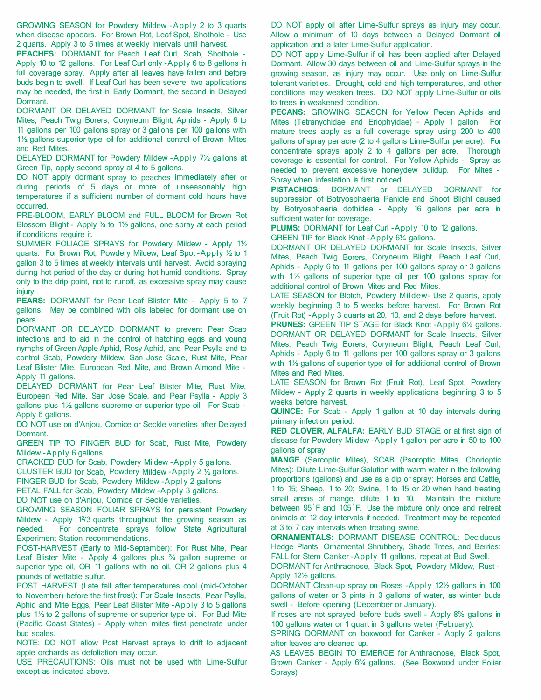GROWING SEASON for Powdery Mildew -Apply 2 to 3 quarts when disease appears. For Brown Rot, Leaf Spot, Shothole - Use 2 quarts. Apply 3 to 5 times at weekly intervals until harvest.

**PEACHES:** DORMANT for Peach Leaf Curl, Scab, Shothole - Apply 10 to 12 gallons. For Leaf Curl only -Apply 6 to 8 gallons in full coverage spray. Apply after all leaves have fallen and before buds begin to swell. If Leaf Curl has been severe, two applications may be needed, the first in Early Dormant, the second in Delayed Dormant.

DORMANT OR DELAYED DORMANT for Scale Insects, Silver Mites, Peach Twig Borers, Coryneum Blight, Aphids - Apply 6 to 11 gallons per 100 gallons spray or 3 gallons per 100 gallons with 1<sup>1</sup>/<sub>2</sub> gallons superior type oil for additional control of Brown Mites and Red Mites.

DELAYED DORMANT for Powdery Mildew -Apply 7½ gallons at Green Tip, apply second spray at 4 to 5 gallons.

DO NOT apply dormant spray to peaches immediately after or during periods of 5 days or more of unseasonably high temperatures if a sufficient number of dormant cold hours have occurred.

PRE-BLOOM, EARLY BLOOM and FULL BLOOM for Brown Rot Blossom Blight - Apply 34 to 11/2 gallons, one spray at each period if conditions require it.

SUMMER FOLIAGE SPRAYS for Powdery Mildew - Apply 1<sup>1</sup>/<sub>2</sub> quarts. For Brown Rot, Powdery Mildew, Leaf Spot -Apply ½ to 1 gallon 3 to 5 times at weekly intervals until harvest. Avoid spraying during hot period of the day or during hot humid conditions. Spray only to the drip point, not to runoff, as excessive spray may cause injury.

**PEARS:** DORMANT for Pear Leaf Blister Mite - Apply 5 to 7 gallons. May be combined with oils labeled for dormant use on pears.

DORMANT OR DELAYED DORMANT to prevent Pear Scab infections and to aid in the control of hatching eggs and young nymphs of Green Apple Aphid, Rosy Aphid, and Pear Psylla and to control Scab, Powdery Mildew, San Jose Scale, Rust Mite, Pear Leaf Blister Mite, European Red Mite, and Brown Almond Mite - Apply 11 gallons.

DELAYED DORMANT for Pear Leaf Blister Mite, Rust Mite, European Red Mite, San Jose Scale, and Pear Psylla - Apply 3 gallons plus 1<sup>1/2</sup> gallons supreme or superior type oil. For Scab -Apply 6 gallons.

DO NOT use on d'Anjou, Cornice or Seckle varieties after Delayed Dormant.

GREEN TIP TO FINGER BUD for Scab, Rust Mite, Powdery Mildew -Apply 6 gallons.

CRACKED BUD for Scab, Powdery Mildew -Apply 5 gallons.

CLUSTER BUD for Scab, Powdery Mildew -Apply 2 ½ gallons.

FINGER BUD for Scab, Powdery Mildew -Apply 2 gallons.

PETAL FALL for Scab, Powdery Mildew -Apply 3 gallons.

DO NOT use on d'Anjou, Cornice or Seckle varieties. GROWING SEASON FOLIAR SPRAYS for persistent Powdery

Mildew - Apply 1<sup>2</sup>/3 quarts throughout the growing season as needed. For concentrate sprays follow State Agricultural Experiment Station recommendations.

POST-HARVEST (Early to Mid-September): For Rust Mite, Pear Leaf Blister Mite - Apply 4 gallons plus 34 gallon supreme or superior type oil, OR 11 gallons with no oil, OR 2 gallons plus 4 pounds of wettable sulfur.

POST HARVEST (Late fall after temperatures cool (mid-October to November) before the first frost): For Scale Insects, Pear Psylla, Aphid and Mite Eggs, Pear Leaf Blister Mite -Apply 3 to 5 gallons plus 1 ½ to 2 gallons of supreme or superior type oil. For Bud Mite (Pacific Coast States) - Apply when mites first penetrate under bud scales.

NOTE: DO NOT allow Post Harvest sprays to drift to adjacent apple orchards as defoliation may occur.

USE PRECAUTIONS: Oils must not be used with Lime-Sulfur except as indicated above.

DO NOT apply oil after Lime-Sulfur sprays as injury may occur. Allow a minimum of 10 days between a Delayed Dormant oil application and a later Lime-Sulfur application.

DO NOT apply Lime-Sulfur if oil has been applied after Delayed Dormant. Allow 30 days between oil and Lime-Sulfur sprays in the growing season, as injury may occur. Use only on Lime-Sulfur tolerant varieties. Drought, cold and high temperatures, and other conditions may weaken trees. DO NOT apply Lime-Sulfur or oils to trees in weakened condition.

**PECANS:** GROWING SEASON for Yellow Pecan Aphids and Mites (Tetranychidae and Eriophyidae) - Apply 1 gallon. For mature trees apply as a full coverage spray using 200 to 400 gallons of spray per acre (2 to 4 gallons Lime-Sulfur per acre). For concentrate sprays apply 2 to 4 gallons per acre. Thorough coverage is essential for control. For Yellow Aphids - Spray as needed to prevent excessive honeydew buildup. For Mites - Spray when infestation is first noticed.

**PISTACHIOS:** DORMANT or DELAYED DORMANT for suppression of Botryosphaeria Panicle and Shoot Blight caused by Botryosphaeria dothidea - Apply 16 gallons per acre in sufficient water for coverage.

**PLUMS:** DORMANT for Leaf Curl -Apply 10 to 12 gallons.

GREEN TIP for Black Knot -Apply 6¼ gallons.

DORMANT OR DELAYED DORMANT for Scale Insects, Silver Mites, Peach Twig Borers, Coryneum Blight, Peach Leaf Curl, Aphids - Apply 6 to 11 gallons per 100 gallons spray or 3 gallons with  $1\frac{1}{2}$  gallons of superior type oil per 100 gallons spray for additional control of Brown Mites and Red Mites.

LATE SEASON for Blotch, Powdery Mildew- Use 2 quarts, apply weekly beginning 3 to 5 weeks before harvest. For Brown Rot (Fruit Rot) -Apply 3 quarts at 20, 10, and 2 days before harvest.

**PRUNES:** GREEN TIP STAGE for Black Knot -Apply 6<sup>1/4</sup> gallons. DORMANT OR DELAYED DORMANT for Scale Insects, Silver Mites, Peach Twig Borers, Coryneum Blight, Peach Leaf Curl, Aphids - Apply 6 to 11 gallons per 100 gallons spray or 3 gallons with 1<sup>1</sup>/<sub>2</sub> gallons of superior type oil for additional control of Brown Mites and Red Mites.

LATE SEASON for Brown Rot (Fruit Rot), Leaf Spot, Powdery Mildew - Apply 2 quarts in weekly applications beginning 3 to 5 weeks before harvest.

**QUINCE:** For Scab - Apply 1 gallon at 10 day intervals during primary infection period.

**RED CLOVER, ALFALFA:** EARLY BUD STAGE or at first sign of disease for Powdery Mildew -Apply 1 gallon per acre in 50 to 100 gallons of spray.

**MANGE** (Sarcoptic Mites), SCAB (Psoroptic Mites, Chorioptic Mites): Dilute Lime-Sulfur Solution with warm water in the following proportions (gallons) and use as a dip or spray: Horses and Cattle, 1 to 15; Sheep, 1 to 20; Swine, 1 to 15 or 20 when hand treating small areas of mange, dilute 1 to 10. Maintain the mixture between 95° F and 105° F. Use the mixture only once and retreat animals at 12 day intervals if needed. Treatment may be repeated at 3 to 7 day intervals when treating swine.

**ORNAMENTALS:** DORMANT DISEASE CONTROL: Deciduous Hedge Plants, Ornamental Shrubbery, Shade Trees, and Berries: FALL for Stem Canker -Apply 11 gallons, repeat at Bud Swell.

DORMANT for Anthracnose, Black Spot, Powdery Mildew, Rust - Apply 12½ gallons.

DORMANT Clean-up spray on Roses -Apply 12½ gallons in 100 gallons of water or 3 pints in 3 gallons of water, as winter buds swell - Before opening (December or January).

If roses are not sprayed before buds swell - Apply 8% gallons in 100 gallons water or 1 quart in 3 gallons water (February).

SPRING DORMANT on boxwood for Canker - Apply 2 gallons after leaves are cleaned up.

AS LEAVES BEGIN TO EMERGE for Anthracnose, Black Spot, Brown Canker - Apply 6¾ gallons. (See Boxwood under Foliar Sprays)